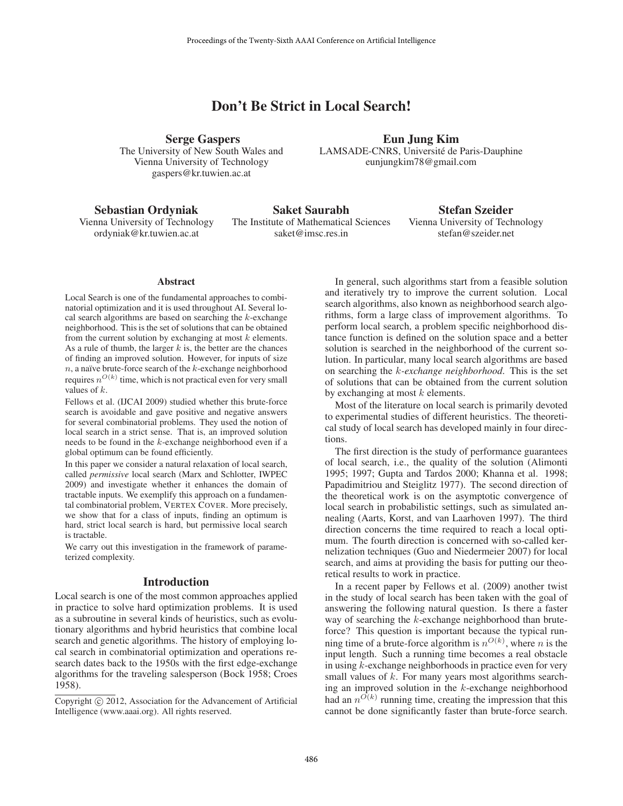# Don't Be Strict in Local Search!

Serge Gaspers The University of New South Wales and Vienna University of Technology gaspers@kr.tuwien.ac.at

Eun Jung Kim LAMSADE-CNRS, Université de Paris-Dauphine eunjungkim78@gmail.com

Sebastian Ordyniak

Vienna University of Technology ordyniak@kr.tuwien.ac.at

Saket Saurabh The Institute of Mathematical Sciences saket@imsc.res.in

Stefan Szeider Vienna University of Technology stefan@szeider.net

#### **Abstract**

Local Search is one of the fundamental approaches to combinatorial optimization and it is used throughout AI. Several local search algorithms are based on searching the  $k$ -exchange neighborhood. This is the set of solutions that can be obtained from the current solution by exchanging at most  $k$  elements. As a rule of thumb, the larger  $k$  is, the better are the chances of finding an improved solution. However, for inputs of size  $n$ , a naïve brute-force search of the  $k$ -exchange neighborhood requires  $n^{O(k)}$  time, which is not practical even for very small values of k.

Fellows et al. (IJCAI 2009) studied whether this brute-force search is avoidable and gave positive and negative answers for several combinatorial problems. They used the notion of local search in a strict sense. That is, an improved solution needs to be found in the k-exchange neighborhood even if a global optimum can be found efficiently.

In this paper we consider a natural relaxation of local search, called *permissive* local search (Marx and Schlotter, IWPEC 2009) and investigate whether it enhances the domain of tractable inputs. We exemplify this approach on a fundamental combinatorial problem, VERTEX COVER. More precisely, we show that for a class of inputs, finding an optimum is hard, strict local search is hard, but permissive local search is tractable.

We carry out this investigation in the framework of parameterized complexity.

### Introduction

Local search is one of the most common approaches applied in practice to solve hard optimization problems. It is used as a subroutine in several kinds of heuristics, such as evolutionary algorithms and hybrid heuristics that combine local search and genetic algorithms. The history of employing local search in combinatorial optimization and operations research dates back to the 1950s with the first edge-exchange algorithms for the traveling salesperson (Bock 1958; Croes 1958).

In general, such algorithms start from a feasible solution and iteratively try to improve the current solution. Local search algorithms, also known as neighborhood search algorithms, form a large class of improvement algorithms. To perform local search, a problem specific neighborhood distance function is defined on the solution space and a better solution is searched in the neighborhood of the current solution. In particular, many local search algorithms are based on searching the k*-exchange neighborhood*. This is the set of solutions that can be obtained from the current solution by exchanging at most  $k$  elements.

Most of the literature on local search is primarily devoted to experimental studies of different heuristics. The theoretical study of local search has developed mainly in four directions.

The first direction is the study of performance guarantees of local search, i.e., the quality of the solution (Alimonti 1995; 1997; Gupta and Tardos 2000; Khanna et al. 1998; Papadimitriou and Steiglitz 1977). The second direction of the theoretical work is on the asymptotic convergence of local search in probabilistic settings, such as simulated annealing (Aarts, Korst, and van Laarhoven 1997). The third direction concerns the time required to reach a local optimum. The fourth direction is concerned with so-called kernelization techniques (Guo and Niedermeier 2007) for local search, and aims at providing the basis for putting our theoretical results to work in practice.

In a recent paper by Fellows et al. (2009) another twist in the study of local search has been taken with the goal of answering the following natural question. Is there a faster way of searching the k-exchange neighborhood than bruteforce? This question is important because the typical running time of a brute-force algorithm is  $n^{O(k)}$ , where n is the input length. Such a running time becomes a real obstacle in using k-exchange neighborhoods in practice even for very small values of k. For many years most algorithms searching an improved solution in the  $k$ -exchange neighborhood had an  $n^{O(k)}$  running time, creating the impression that this cannot be done significantly faster than brute-force search.

Copyright  $\odot$  2012, Association for the Advancement of Artificial Intelligence (www.aaai.org). All rights reserved.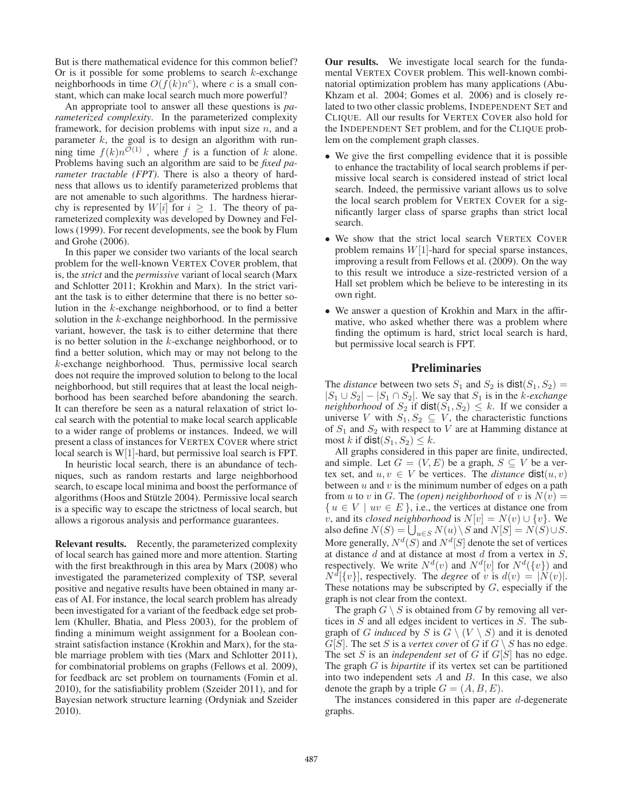But is there mathematical evidence for this common belief? Or is it possible for some problems to search  $k$ -exchange neighborhoods in time  $O(f(k)n^c)$ , where c is a small constant, which can make local search much more powerful?

An appropriate tool to answer all these questions is *parameterized complexity*. In the parameterized complexity framework, for decision problems with input size  $n$ , and a parameter  $k$ , the goal is to design an algorithm with running time  $f(k)n^{\mathcal{O}(1)}$ , where f is a function of k alone. Problems having such an algorithm are said to be *fixed parameter tractable (FPT)*. There is also a theory of hardness that allows us to identify parameterized problems that are not amenable to such algorithms. The hardness hierarchy is represented by  $W[i]$  for  $i \geq 1$ . The theory of parameterized complexity was developed by Downey and Fellows (1999). For recent developments, see the book by Flum and Grohe (2006).

In this paper we consider two variants of the local search problem for the well-known VERTEX COVER problem, that is, the *strict* and the *permissive* variant of local search (Marx and Schlotter 2011; Krokhin and Marx). In the strict variant the task is to either determine that there is no better solution in the k-exchange neighborhood, or to find a better solution in the  $k$ -exchange neighborhood. In the permissive variant, however, the task is to either determine that there is no better solution in the  $k$ -exchange neighborhood, or to find a better solution, which may or may not belong to the k-exchange neighborhood. Thus, permissive local search does not require the improved solution to belong to the local neighborhood, but still requires that at least the local neighborhood has been searched before abandoning the search. It can therefore be seen as a natural relaxation of strict local search with the potential to make local search applicable to a wider range of problems or instances. Indeed, we will present a class of instances for VERTEX COVER where strict local search is W[1]-hard, but permissive loal search is FPT.

In heuristic local search, there is an abundance of techniques, such as random restarts and large neighborhood search, to escape local minima and boost the performance of algorithms (Hoos and Stützle 2004). Permissive local search is a specific way to escape the strictness of local search, but allows a rigorous analysis and performance guarantees.

Relevant results. Recently, the parameterized complexity of local search has gained more and more attention. Starting with the first breakthrough in this area by Marx (2008) who investigated the parameterized complexity of TSP, several positive and negative results have been obtained in many areas of AI. For instance, the local search problem has already been investigated for a variant of the feedback edge set problem (Khuller, Bhatia, and Pless 2003), for the problem of finding a minimum weight assignment for a Boolean constraint satisfaction instance (Krokhin and Marx), for the stable marriage problem with ties (Marx and Schlotter 2011), for combinatorial problems on graphs (Fellows et al. 2009), for feedback arc set problem on tournaments (Fomin et al. 2010), for the satisfiability problem (Szeider 2011), and for Bayesian network structure learning (Ordyniak and Szeider 2010).

Our results. We investigate local search for the fundamental VERTEX COVER problem. This well-known combinatorial optimization problem has many applications (Abu-Khzam et al. 2004; Gomes et al. 2006) and is closely related to two other classic problems, INDEPENDENT SET and CLIQUE. All our results for VERTEX COVER also hold for the INDEPENDENT SET problem, and for the CLIQUE problem on the complement graph classes.

- We give the first compelling evidence that it is possible to enhance the tractability of local search problems if permissive local search is considered instead of strict local search. Indeed, the permissive variant allows us to solve the local search problem for VERTEX COVER for a significantly larger class of sparse graphs than strict local search.
- We show that the strict local search VERTEX COVER problem remains  $W[1]$ -hard for special sparse instances, improving a result from Fellows et al. (2009). On the way to this result we introduce a size-restricted version of a Hall set problem which be believe to be interesting in its own right.
- We answer a question of Krokhin and Marx in the affirmative, who asked whether there was a problem where finding the optimum is hard, strict local search is hard, but permissive local search is FPT.

## **Preliminaries**

The *distance* between two sets  $S_1$  and  $S_2$  is  $dist(S_1, S_2)$  =  $|S_1 \cup S_2| - |S_1 \cap S_2|$ . We say that  $S_1$  is in the *k*-exchange *neighborhood* of  $S_2$  if  $dist(S_1, S_2) \leq k$ . If we consider a universe V with  $S_1, S_2 \subseteq V$ , the characteristic functions of  $S_1$  and  $S_2$  with respect to V are at Hamming distance at most k if  $dist(S_1, S_2) \leq k$ .

All graphs considered in this paper are finite, undirected, and simple. Let  $G = (V, E)$  be a graph,  $S \subseteq V$  be a vertex set, and  $u, v \in V$  be vertices. The *distance*  $dist(u, v)$ between  $u$  and  $v$  is the minimum number of edges on a path from u to v in G. The *(open)* neighborhood of v is  $N(v) =$  $\{u \in V \mid uv \in E\}$ , i.e., the vertices at distance one from v, and its *closed neighborhood* is  $N[v] = N(v) \cup \{v\}$ . We also define  $N(S) = \bigcup_{u \in S} N(u) \setminus S$  and  $N[S] = N(S) \cup S$ . More generally,  $N^d(S)$  and  $N^d[S]$  denote the set of vertices at distance  $d$  and at distance at most  $d$  from a vertex in  $S$ , respectively. We write  $N^{d}(v)$  and  $N^{d}[v]$  for  $N^{d}(\lbrace v \rbrace)$  and  $N^{d}[\lbrace v \rbrace]$ , respectively. The *degree* of v is  $d(v) = |N(v)|$ . These notations may be subscripted by  $G$ , especially if the graph is not clear from the context.

The graph  $G \setminus S$  is obtained from G by removing all vertices in S and all edges incident to vertices in S. The subgraph of G *induced* by S is  $G \setminus (V \setminus S)$  and it is denoted  $G[S]$ . The set S is a *vertex cover* of G if  $G \setminus S$  has no edge. The set S is an *independent set* of G if G[S] has no edge. The graph G is *bipartite* if its vertex set can be partitioned into two independent sets  $A$  and  $B$ . In this case, we also denote the graph by a triple  $G = (A, B, E)$ .

The instances considered in this paper are d-degenerate graphs.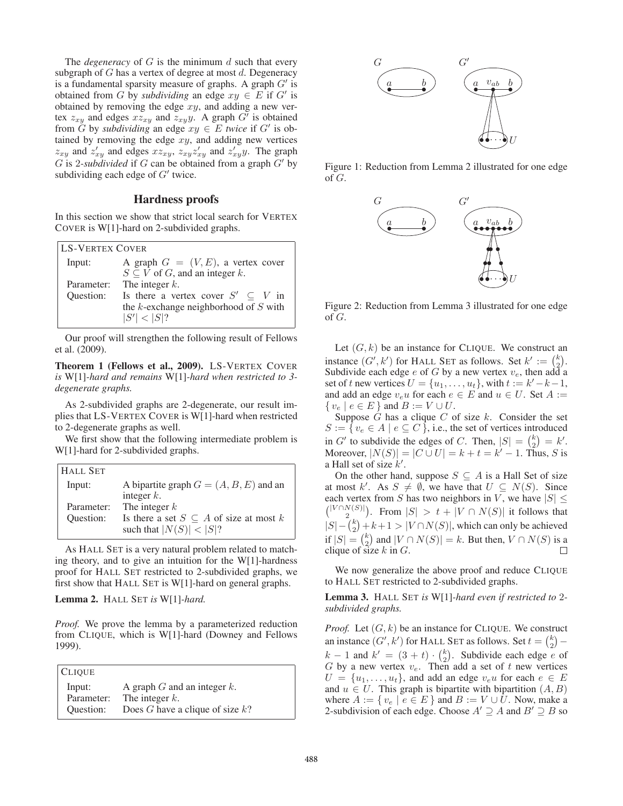The *degeneracy* of  $G$  is the minimum  $d$  such that every subgraph of  $G$  has a vertex of degree at most  $d$ . Degeneracy is a fundamental sparsity measure of graphs. A graph  $G'$  is obtained from G by *subdividing* an edge  $xy \in E$  if G' is obtained by removing the edge  $xy$ , and adding a new vertex  $z_{xy}$  and edges  $xz_{xy}$  and  $z_{xy}y$ . A graph  $G'$  is obtained from  $\tilde{G}$  by *subdividing* an edge  $xy \in E$  *twice* if  $G'$  is obtained by removing the edge  $xy$ , and adding new vertices  $z_{xy}$  and  $z'_{xy}$  and edges  $xz_{xy}$ ,  $z_{xy}z'_{xy}$  and  $z'_{xy}y$ . The graph G is 2-*subdivided* if G can be obtained from a graph  $G'$  by subdividing each edge of  $G'$  twice.

### Hardness proofs

In this section we show that strict local search for VERTEX COVER is W[1]-hard on 2-subdivided graphs.

| <b>LS-VERTEX COVER</b> |                                             |  |
|------------------------|---------------------------------------------|--|
| Input:                 | A graph $G = (V, E)$ , a vertex cover       |  |
|                        | $S \subseteq V$ of G, and an integer k.     |  |
| Parameter:             | The integer $k$ .                           |  |
| Ouestion:              | Is there a vertex cover $S' \subseteq V$ in |  |
|                        | the $k$ -exchange neighborhood of $S$ with  |  |
|                        | S'  <  S ?                                  |  |

Our proof will strengthen the following result of Fellows et al. (2009).

Theorem 1 (Fellows et al., 2009). LS-VERTEX COVER *is* W[1]*-hard and remains* W[1]*-hard when restricted to 3 degenerate graphs.*

As 2-subdivided graphs are 2-degenerate, our result implies that LS-VERTEX COVER is W[1]-hard when restricted to 2-degenerate graphs as well.

We first show that the following intermediate problem is W[1]-hard for 2-subdivided graphs.

| <b>HALL SET</b> |                                                  |
|-----------------|--------------------------------------------------|
| Input:          | A bipartite graph $G = (A, B, E)$ and an         |
|                 | integer $k$ .                                    |
| Parameter:      | The integer $k$                                  |
| Ouestion:       | Is there a set $S \subseteq A$ of size at most k |
|                 | such that $ N(S)  <  S $ ?                       |

As HALL SET is a very natural problem related to matching theory, and to give an intuition for the W[1]-hardness proof for HALL SET restricted to 2-subdivided graphs, we first show that HALL SET is W[1]-hard on general graphs.

Lemma 2. HALL SET *is* W[1]*-hard.*

*Proof.* We prove the lemma by a parameterized reduction from CLIQUE, which is W[1]-hard (Downey and Fellows 1999).

| <b>CLIQUE</b> |                                    |
|---------------|------------------------------------|
| Input:        | A graph $G$ and an integer $k$ .   |
| Parameter:    | The integer $k$ .                  |
| Ouestion:     | Does G have a clique of size $k$ ? |



Figure 1: Reduction from Lemma 2 illustrated for one edge of  $G$ .



Figure 2: Reduction from Lemma 3 illustrated for one edge of G.

Let  $(G, k)$  be an instance for CLIQUE. We construct an instance  $(G', k')$  for HALL SET as follows. Set  $k' := \binom{k}{2}$ . Subdivide each edge e of G by a new vertex  $v_e$ , then add a set of t new vertices  $U = \{u_1, \ldots, u_t\}$ , with  $t := k'-k-1$ , and add an edge  $v_e u$  for each  $e \in E$  and  $u \in U$ . Set  $A :=$  $\{v_e \mid e \in E\}$  and  $B := V \cup U$ .

Suppose  $G$  has a clique  $C$  of size  $k$ . Consider the set  $S := \{ v_e \in A \mid e \subseteq C \}$ , i.e., the set of vertices introduced in G' to subdivide the edges of C. Then,  $|S| = {k \choose 2} = k'$ . Moreover,  $|N(S)| = |C \cup U| = k + t = k' - 1$ . Thus, S is a Hall set of size  $k'$ .

On the other hand, suppose  $S \subseteq A$  is a Hall Set of size at most k'. As  $S \neq \emptyset$ , we have that  $U \subseteq N(S)$ . Since each vertex from S has two neighbors in V, we have  $|S| \leq$  $\binom{|V \cap N(S)|}{2}$ . From  $|S| > t + |V \cap N(S)|$  it follows that  $|S| - {k \choose 2} + k + 1 > |V \cap N(S)|$ , which can only be achieved if  $|S| = {k \choose 2}$  and  $|V \cap N(S)| = k$ . But then,  $V \cap N(S)$  is a clique of size  $k$  in  $G$ .

We now generalize the above proof and reduce CLIQUE to HALL SET restricted to 2-subdivided graphs.

Lemma 3. HALL SET *is* W[1]*-hard even if restricted to* 2 *subdivided graphs.*

*Proof.* Let  $(G, k)$  be an instance for CLIQUE. We construct an instance  $(G', k')$  for HALL SET as follows. Set  $t = \binom{k}{2}$  –  $k - 1$  and  $k' = (3 + t) \cdot \binom{k}{2}$ . Subdivide each edge e of G by a new vertex  $v_e$ . Then add a set of t new vertices  $U = \{u_1, \ldots, u_t\}$ , and add an edge  $v_e u$  for each  $e \in E$ and  $u \in U$ . This graph is bipartite with bipartition  $(A, B)$ where  $A := \{ v_e \mid e \in E \}$  and  $B := V \cup U$ . Now, make a 2-subdivision of each edge. Choose  $A' \supseteq A$  and  $B' \supseteq B$  so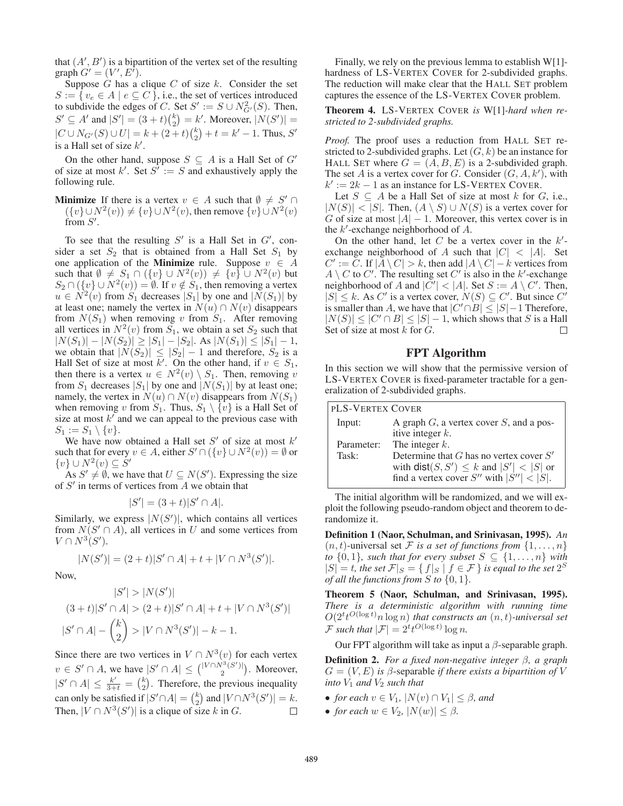that  $(A', B')$  is a bipartition of the vertex set of the resulting graph  $G' = (V', E')$ .

Suppose  $G$  has a clique  $C$  of size  $k$ . Consider the set  $S := \{ v_e \in A \mid e \subseteq C \}$ , i.e., the set of vertices introduced to subdivide the edges of C. Set  $S' := S \cup N_{G'}^2(S)$ . Then,  $S' \subseteq A'$  and  $|S'| = (3 + t)\binom{k}{2} = k'$ . Moreover,  $|N(S')| =$  $|C \cup N_{G'}(S) \cup U| = k + (2+t)\binom{k}{2} + t = k' - 1$ . Thus, S' is a Hall set of size  $k'$ .

On the other hand, suppose  $S \subseteq A$  is a Hall Set of G' of size at most k'. Set  $S^i := S$  and exhaustively apply the following rule.

**Minimize** If there is a vertex  $v \in A$  such that  $\emptyset \neq S' \cap A$  $({v} \cup N^2(v)) \neq {v} \cup N^2(v)$ , then remove  ${v} \cup N^2(v)$ from  $S'$ .

To see that the resulting  $S'$  is a Hall Set in  $G'$ , consider a set  $S_2$  that is obtained from a Hall Set  $S_1$  by one application of the **Minimize** rule. Suppose  $v \in A$ such that  $\emptyset \neq S_1 \cap (\{v\} \cup N^2(v)) \neq \{v\} \cup N^2(v)$  but  $S_2 \cap (\{v\} \cup N^2(v)) = \emptyset$ . If  $v \notin S_1$ , then removing a vertex  $u \in N^2(v)$  from  $S_1$  decreases  $|S_1|$  by one and  $|N(S_1)|$  by at least one; namely the vertex in  $N(u) \cap N(v)$  disappears from  $N(S_1)$  when removing v from  $S_1$ . After removing all vertices in  $N^2(v)$  from  $S_1$ , we obtain a set  $S_2$  such that  $|N(S_1)| - |N(S_2)| \ge |S_1| - |S_2|$ . As  $|N(S_1)| \le |S_1| - 1$ , we obtain that  $|N(S_2)| \leq |S_2| - 1$  and therefore,  $S_2$  is a Hall Set of size at most k'. On the other hand, if  $v \in S_1$ , then there is a vertex  $u \in N^2(v) \setminus S_1$ . Then, removing v from  $S_1$  decreases  $|S_1|$  by one and  $|N(S_1)|$  by at least one; namely, the vertex in  $N(u) \cap N(v)$  disappears from  $N(S_1)$ when removing v from  $S_1$ . Thus,  $S_1 \setminus \{v\}$  is a Hall Set of size at most  $k'$  and we can appeal to the previous case with  $S_1 := S_1 \setminus \{v\}.$ 

We have now obtained a Hall set  $S'$  of size at most  $k'$ such that for every  $v \in A$ , either  $S' \cap (\{v\} \cup N^2(v)) = \emptyset$  or  $\{v\} \cup N^2(v) \subseteq \dot{S}'$ 

As  $S' \neq \emptyset$ , we have that  $U \subseteq N(S')$ . Expressing the size of  $S'$  in terms of vertices from  $A$  we obtain that

$$
|S'| = (3+t)|S' \cap A|.
$$

Similarly, we express  $|N(S')|$ , which contains all vertices from  $N(S' \cap A)$ , all vertices in U and some vertices from  $V \cap N^3(S')$ .

$$
|N(S')| = (2+t)|S' \cap A| + t + |V \cap N^3(S')|.
$$

Now,

$$
|S'| > |N(S')|
$$
  
(3 + t)|S' \cap A| > (2 + t)|S' \cap A| + t + |V \cap N<sup>3</sup>(S')|  
|S' \cap A| -  $\binom{k}{2}$  > |V \cap N<sup>3</sup>(S')| - k - 1.

Since there are two vertices in  $V \cap N^3(v)$  for each vertex  $v \in S' \cap A$ , we have  $|S' \cap A| \leq {|\nV \cap N^3(S')| \choose 2}$ . Moreover,  $|S' \cap A| \leq \frac{k'}{3+t} = {k \choose 2}$ . Therefore, the previous inequality can only be satisfied if  $|S' \cap A| = {k \choose 2}$  and  $|V \cap N^3(S')| = k$ . Then,  $|V \cap N^3(S')|$  is a clique of size k in G.  $\Box$ 

Finally, we rely on the previous lemma to establish W[1] hardness of LS-VERTEX COVER for 2-subdivided graphs. The reduction will make clear that the HALL SET problem captures the essence of the LS-VERTEX COVER problem.

Theorem 4. LS-VERTEX COVER *is* W[1]*-hard when restricted to 2-subdivided graphs.*

*Proof.* The proof uses a reduction from HALL SET restricted to 2-subdivided graphs. Let  $(G, k)$  be an instance for HALL SET where  $G = (A, B, E)$  is a 2-subdivided graph. The set A is a vertex cover for G. Consider  $(G, A, k')$ , with  $k' := 2k - 1$  as an instance for LS-VERTEX COVER.

Let  $S \subseteq A$  be a Hall Set of size at most k for G, i.e.,  $|N(S)| < |S|$ . Then,  $(A \setminus S) \cup N(S)$  is a vertex cover for G of size at most  $|A| - 1$ . Moreover, this vertex cover is in the  $k'$ -exchange neighborhood of  $A$ .

On the other hand, let  $C$  be a vertex cover in the  $k'$ exchange neighborhood of A such that  $|C| < |A|$ . Set  $C' := \overline{C}$ . If  $|\overline{A} \setminus C| > k$ , then add  $|A \setminus C| - k$  vertices from  $A \setminus C$  to  $C'$ . The resulting set  $C'$  is also in the k'-exchange neighborhood of A and  $|\tilde{C}'|$  < |A|. Set  $S := A \setminus C'$ . Then,  $|S| \leq k$ . As C' is a vertex cover,  $N(S) \subseteq C'$ . But since C' is smaller than A, we have that  $|C' \cap B| \leq |S| - 1$  Therefore,  $|N(S)| \leq |C' \cap B| \leq |S| - 1$ , which shows that S is a Hall Set of size at most  $k$  for  $G$ .  $\Box$ 

# FPT Algorithm

In this section we will show that the permissive version of LS-VERTEX COVER is fixed-parameter tractable for a generalization of 2-subdivided graphs.

| <b>PLS-VERTEX COVER</b> |                                               |  |
|-------------------------|-----------------------------------------------|--|
| Input:                  | A graph $G$ , a vertex cover $S$ , and a pos- |  |
|                         | itive integer $k$ .                           |  |
| Parameter:              | The integer $k$ .                             |  |
| Task:                   | Determine that $G$ has no vertex cover $S'$   |  |
|                         | with $dist(S, S') \leq k$ and $ S'  <  S $ or |  |
|                         | find a vertex cover S'' with $ S''  <  S $ .  |  |

The initial algorithm will be randomized, and we will exploit the following pseudo-random object and theorem to derandomize it.

Definition 1 (Naor, Schulman, and Srinivasan, 1995). *An*  $(n, t)$ -universal set F *is a set of functions from*  $\{1, \ldots, n\}$ *to*  $\{0, 1\}$ *, such that for every subset*  $S \subseteq \{1, \ldots, n\}$  *with*  $|S| = t$ , the set  $\mathcal{F}|_S = \{ f|_S \mid f \in \mathcal{F} \}$  is equal to the set  $2^S$ *of all the functions from*  $S$  *to*  $\{0, 1\}$ *.* 

Theorem 5 (Naor, Schulman, and Srinivasan, 1995). *There is a deterministic algorithm with running time*  $O(2^t t^{O(\log t)} n \log n)$  that constructs an  $(n, t)$ -universal set  $\mathcal F$  such that  $|\mathcal F|=2^t t^{O(\log t)}\log n$ .

Our FPT algorithm will take as input a  $\beta$ -separable graph.

Definition 2. *For a fixed non-negative integer* β*, a graph*  $G = (V, E)$  *is*  $\beta$ -separable *if there exists a bipartition of* V *into*  $V_1$  *and*  $V_2$  *such that* 

- *for each*  $v \in V_1$ ,  $|N(v) \cap V_1| \leq \beta$ *, and*
- *for each*  $w \in V_2$ ,  $|N(w)| \leq \beta$ .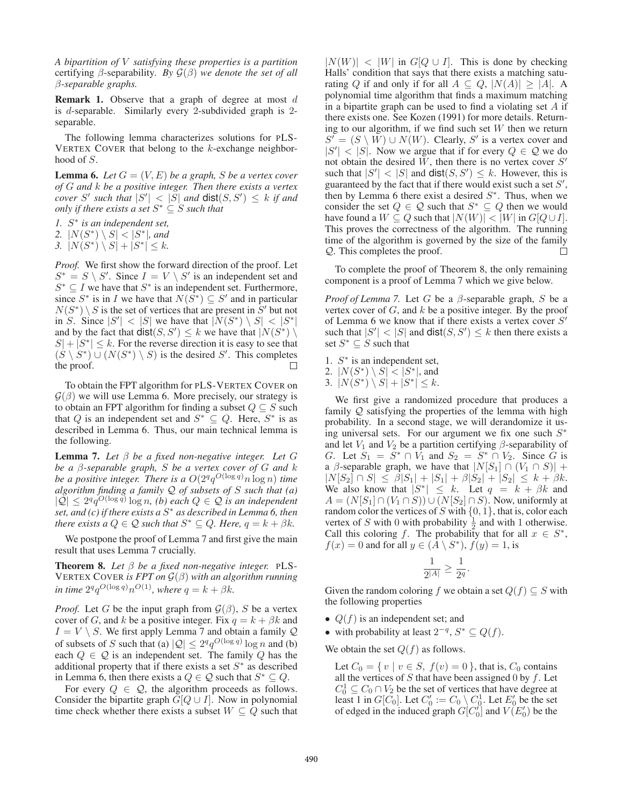*A bipartition of* V *satisfying these properties is a partition* certifying β-separability*. By* G(β) *we denote the set of all* β*-separable graphs.*

**Remark 1.** Observe that a graph of degree at most  $d$ is d-separable. Similarly every 2-subdivided graph is 2 separable.

The following lemma characterizes solutions for PLS-VERTEX COVER that belong to the  $k$ -exchange neighborhood of S.

**Lemma 6.** Let  $G = (V, E)$  be a graph, S be a vertex cover *of* G *and* k *be a positive integer. Then there exists a vertex cover* S' such that  $|S'| < |S|$  and  $dist(S, S') \leq k$  if and *only if there exists a set*  $S^* \subseteq S$  *such that* 

*1.* S ∗ *is an independent set,*

2.  $|N(S^*) \setminus S| < |S^*|$ , and

3.  $|N(S^*) \setminus S| + |S^*| \leq k$ .

*Proof.* We first show the forward direction of the proof. Let  $S^* = S \setminus S'$ . Since  $I = V \setminus S'$  is an independent set and  $S^* \subseteq I$  we have that  $S^*$  is an independent set. Furthermore, since  $S^*$  is in I we have that  $N(S^*) \subseteq S'$  and in particular  $N(S^*) \setminus S$  is the set of vertices that are present in  $\tilde{S}'$  but not in S. Since  $|S'| < |S|$  we have that  $|N(S^*) \setminus S| < |S^*|$ and by the fact that  $dist(S, S') \leq k$  we have that  $|N(S^*) \setminus S'|$  $|S| + |S^*| \leq k$ . For the reverse direction it is easy to see that  $(S \setminus S^*) \cup (N(S^*) \setminus S)$  is the desired S'. This completes the proof.  $\Box$ 

To obtain the FPT algorithm for PLS-VERTEX COVER on  $G(\beta)$  we will use Lemma 6. More precisely, our strategy is to obtain an FPT algorithm for finding a subset  $Q \subseteq S$  such that Q is an independent set and  $S^* \subseteq Q$ . Here,  $S^*$  is as described in Lemma 6. Thus, our main technical lemma is the following.

Lemma 7. *Let* β *be a fixed non-negative integer. Let* G *be a* β*-separable graph,* S *be a vertex cover of* G *and* k *be a positive integer. There is a*  $O(2^q q^{O(\log q)} n \log n)$  *time algorithm finding a family* Q *of subsets of* S *such that (a)*  $|\mathcal{Q}| \leq 2^q q^{O(\log q)} \log n$ , *(b)* each  $Q \in \mathcal{Q}$  is an independent *set, and (c) if there exists a* S <sup>∗</sup> *as described in Lemma 6, then there exists a*  $Q \in \mathcal{Q}$  *such that*  $S^* \subseteq Q$ *. Here,*  $q = k + \beta k$ *.* 

We postpone the proof of Lemma 7 and first give the main result that uses Lemma 7 crucially.

**Theorem 8.** *Let*  $\beta$  *be a fixed non-negative integer.* PLS-VERTEX COVER *is FPT on* G(β) *with an algorithm running in time*  $2^q q^{O(\log q)} n^{O(1)}$ *, where*  $q = k + \beta k$ *.* 

*Proof.* Let G be the input graph from  $\mathcal{G}(\beta)$ , S be a vertex cover of G, and k be a positive integer. Fix  $q = k + \beta k$  and  $I = V \setminus S$ . We first apply Lemma 7 and obtain a family Q of subsets of S such that (a)  $|Q| \leq 2^q q^{O(\log q)} \log n$  and (b) each  $Q \in \mathcal{Q}$  is an independent set. The family Q has the additional property that if there exists a set  $S^*$  as described in Lemma 6, then there exists a  $Q \in \mathcal{Q}$  such that  $S^* \subseteq Q$ .

For every  $Q \in \mathcal{Q}$ , the algorithm proceeds as follows. Consider the bipartite graph  $G[Q \cup I]$ . Now in polynomial time check whether there exists a subset  $W \subseteq Q$  such that

 $|N(W)| < |W|$  in  $G[Q \cup I]$ . This is done by checking Halls' condition that says that there exists a matching saturating Q if and only if for all  $A \subseteq Q$ ,  $|N(A)| \ge |A|$ . A polynomial time algorithm that finds a maximum matching in a bipartite graph can be used to find a violating set  $A$  if there exists one. See Kozen (1991) for more details. Returning to our algorithm, if we find such set  $W$  then we return  $S' = (S \setminus \overline{W}) \cup N(W)$ . Clearly, S' is a vertex cover and  $|S'| < |S|$ . Now we argue that if for every  $Q \in \mathcal{Q}$  we do not obtain the desired  $W$ , then there is no vertex cover  $S'$ such that  $|S'| < |S|$  and  $dist(S, S') \leq k$ . However, this is guaranteed by the fact that if there would exist such a set  $S'$ , then by Lemma 6 there exist a desired  $S^*$ . Thus, when we consider the set  $Q \in \mathcal{Q}$  such that  $S^* \subseteq Q$  then we would have found a  $W \subseteq Q$  such that  $|N(W)| < |W|$  in  $G[Q \cup I]$ . This proves the correctness of the algorithm. The running time of the algorithm is governed by the size of the family Q. This completes the proof. П

To complete the proof of Theorem 8, the only remaining component is a proof of Lemma 7 which we give below.

*Proof of Lemma 7.* Let G be a  $\beta$ -separable graph, S be a vertex cover of  $G$ , and  $k$  be a positive integer. By the proof of Lemma 6 we know that if there exists a vertex cover  $S'$ such that  $|S'| < |S|$  and  $dist(S, S') \leq k$  then there exists a set  $S^* \subseteq S$  such that

- 1.  $S^*$  is an independent set,
- 2.  $|N(S^*) \setminus S| < |S^*|$ , and
- 3.  $|N(S^*) \setminus S| + |S^*| \leq k$ .

We first give a randomized procedure that produces a family Q satisfying the properties of the lemma with high probability. In a second stage, we will derandomize it using universal sets. For our argument we fix one such  $S^*$ and let  $V_1$  and  $V_2$  be a partition certifying  $\beta$ -separability of G. Let  $S_1 = S^* \cap V_1$  and  $S_2 = S^* \cap V_2$ . Since G is a  $\beta$ -separable graph, we have that  $|N[S_1] \cap (V_1 \cap S)| +$  $|N[S_2] \cap S| \leq \beta |S_1| + |S_1| + \beta |S_2| + |S_2| \leq k + \beta k.$ We also know that  $|S^*| \leq k$ . Let  $q = k + \beta k$  and  $A = (N[S_1] \cap (V_1 \cap S)) \cup (N[S_2] \cap S)$ . Now, uniformly at random color the vertices of S with  $\{0, 1\}$ , that is, color each vertex of S with 0 with probability  $\frac{1}{2}$  and with 1 otherwise. Call this coloring f. The probability that for all  $x \in S^*$ ,  $f(x) = 0$  and for all  $y \in (\hat{A} \setminus S^*)$ ,  $f(y) = 1$ , is

$$
\frac{1}{2^{|A|}}\geq \frac{1}{2^q}.
$$

Given the random coloring f we obtain a set  $Q(f) \subseteq S$  with the following properties

- $Q(f)$  is an independent set; and
- with probability at least  $2^{-q}$ ,  $S^* \subseteq Q(f)$ .

We obtain the set  $Q(f)$  as follows.

Let  $C_0 = \{ v \mid v \in S, f(v) = 0 \}$ , that is,  $C_0$  contains all the vertices of  $S$  that have been assigned 0 by  $f$ . Let  $C_0^1 \subseteq C_0 \cap V_2$  be the set of vertices that have degree at least 1 in  $G[C_0]$ . Let  $C'_0 := C_0 \setminus C_0^1$ . Let  $E'_0$  be the set of edged in the induced graph  $G[C_0]$  and  $V(E'_0)$  be the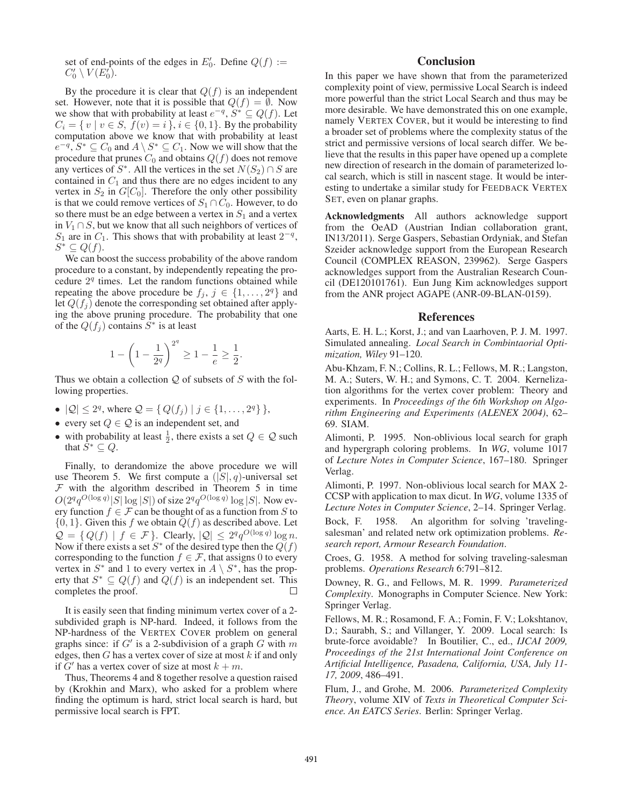set of end-points of the edges in  $E'_0$ . Define  $Q(f) :=$  $C'_0 \setminus V(E'_0).$ 

By the procedure it is clear that  $Q(f)$  is an independent set. However, note that it is possible that  $Q(f) = \emptyset$ . Now we show that with probability at least  $e^{-q}$ ,  $S^* \subseteq Q(f)$ . Let  $C_i = \{ v \mid v \in S, \overline{f}(v) = i \}, i \in \{0, 1\}.$  By the probability computation above we know that with probability at least  $e^{-q}$ ,  $S^* \subseteq C_0$  and  $A \setminus S^* \subseteq C_1$ . Now we will show that the procedure that prunes  $C_0$  and obtains  $Q(f)$  does not remove any vertices of  $S^*$ . All the vertices in the set  $N(S_2) \cap S$  are contained in  $C_1$  and thus there are no edges incident to any vertex in  $S_2$  in  $G[C_0]$ . Therefore the only other possibility is that we could remove vertices of  $S_1 \cap C_0$ . However, to do so there must be an edge between a vertex in  $S_1$  and a vertex in  $V_1 \cap S$ , but we know that all such neighbors of vertices of  $S_1$  are in  $C_1$ . This shows that with probability at least  $2^{-q}$ ,  $S^* \subseteq Q(f).$ 

We can boost the success probability of the above random procedure to a constant, by independently repeating the procedure  $2<sup>q</sup>$  times. Let the random functions obtained while repeating the above procedure be  $f_j$ ,  $j \in \{1, ..., 2^q\}$  and let  $Q(f_i)$  denote the corresponding set obtained after applying the above pruning procedure. The probability that one of the  $Q(f_j)$  contains  $\tilde{S}^*$  is at least

$$
1 - \left(1 - \frac{1}{2^q}\right)^{2^q} \ge 1 - \frac{1}{e} \ge \frac{1}{2}.
$$

Thus we obtain a collection  $Q$  of subsets of  $S$  with the following properties.

- $|Q| \le 2^q$ , where  $Q = \{ Q(f_j) | j \in \{1, ..., 2^q\} \}$ ,
- every set  $Q \in \mathcal{Q}$  is an independent set, and
- with probability at least  $\frac{1}{2}$ , there exists a set  $Q \in \mathcal{Q}$  such that  $\tilde{S}^* \subseteq Q$ .

Finally, to derandomize the above procedure we will use Theorem 5. We first compute a  $(|S|, q)$ -universal set  $F$  with the algorithm described in Theorem 5 in time  $O(2^q q^{O(\log q)} |S| \log |S|)$  of size  $2^q q^{O(\log q)} \log |S|$ . Now every function  $f \in \mathcal{F}$  can be thought of as a function from S to  $\{0, 1\}$ . Given this f we obtain  $Q(f)$  as described above. Let  $\mathcal{Q} = \{ Q(f) \mid f \in \mathcal{F} \}.$  Clearly,  $|\mathcal{Q}| \leq 2^q q^{O(\log q)} \log n$ . Now if there exists a set  $S^*$  of the desired type then the  $Q(f)$ corresponding to the function  $f \in \mathcal{F}$ , that assigns 0 to every vertex in  $S^*$  and 1 to every vertex in  $A \setminus S^*$ , has the property that  $S^* \subseteq Q(f)$  and  $Q(f)$  is an independent set. This completes the proof.

It is easily seen that finding minimum vertex cover of a 2 subdivided graph is NP-hard. Indeed, it follows from the NP-hardness of the VERTEX COVER problem on general graphs since: if G' is a 2-subdivision of a graph G with m edges, then  $G$  has a vertex cover of size at most  $k$  if and only if G' has a vertex cover of size at most  $k + m$ .

Thus, Theorems 4 and 8 together resolve a question raised by (Krokhin and Marx), who asked for a problem where finding the optimum is hard, strict local search is hard, but permissive local search is FPT.

## **Conclusion**

In this paper we have shown that from the parameterized complexity point of view, permissive Local Search is indeed more powerful than the strict Local Search and thus may be more desirable. We have demonstrated this on one example, namely VERTEX COVER, but it would be interesting to find a broader set of problems where the complexity status of the strict and permissive versions of local search differ. We believe that the results in this paper have opened up a complete new direction of research in the domain of parameterized local search, which is still in nascent stage. It would be interesting to undertake a similar study for FEEDBACK VERTEX SET, even on planar graphs.

Acknowledgments All authors acknowledge support from the OeAD (Austrian Indian collaboration grant, IN13/2011). Serge Gaspers, Sebastian Ordyniak, and Stefan Szeider acknowledge support from the European Research Council (COMPLEX REASON, 239962). Serge Gaspers acknowledges support from the Australian Research Council (DE120101761). Eun Jung Kim acknowledges support from the ANR project AGAPE (ANR-09-BLAN-0159).

#### References

Aarts, E. H. L.; Korst, J.; and van Laarhoven, P. J. M. 1997. Simulated annealing. *Local Search in Combintaorial Optimization, Wiley* 91–120.

Abu-Khzam, F. N.; Collins, R. L.; Fellows, M. R.; Langston, M. A.; Suters, W. H.; and Symons, C. T. 2004. Kernelization algorithms for the vertex cover problem: Theory and experiments. In *Proceedings of the 6th Workshop on Algorithm Engineering and Experiments (ALENEX 2004)*, 62– 69. SIAM.

Alimonti, P. 1995. Non-oblivious local search for graph and hypergraph coloring problems. In *WG*, volume 1017 of *Lecture Notes in Computer Science*, 167–180. Springer Verlag.

Alimonti, P. 1997. Non-oblivious local search for MAX 2- CCSP with application to max dicut. In *WG*, volume 1335 of *Lecture Notes in Computer Science*, 2–14. Springer Verlag.

Bock, F. 1958. An algorithm for solving 'travelingsalesman' and related netw ork optimization problems. *Research report, Armour Research Foundation*.

Croes, G. 1958. A method for solving traveling-salesman problems. *Operations Research* 6:791–812.

Downey, R. G., and Fellows, M. R. 1999. *Parameterized Complexity*. Monographs in Computer Science. New York: Springer Verlag.

Fellows, M. R.; Rosamond, F. A.; Fomin, F. V.; Lokshtanov, D.; Saurabh, S.; and Villanger, Y. 2009. Local search: Is brute-force avoidable? In Boutilier, C., ed., *IJCAI 2009, Proceedings of the 21st International Joint Conference on Artificial Intelligence, Pasadena, California, USA, July 11- 17, 2009*, 486–491.

Flum, J., and Grohe, M. 2006. *Parameterized Complexity Theory*, volume XIV of *Texts in Theoretical Computer Science. An EATCS Series*. Berlin: Springer Verlag.